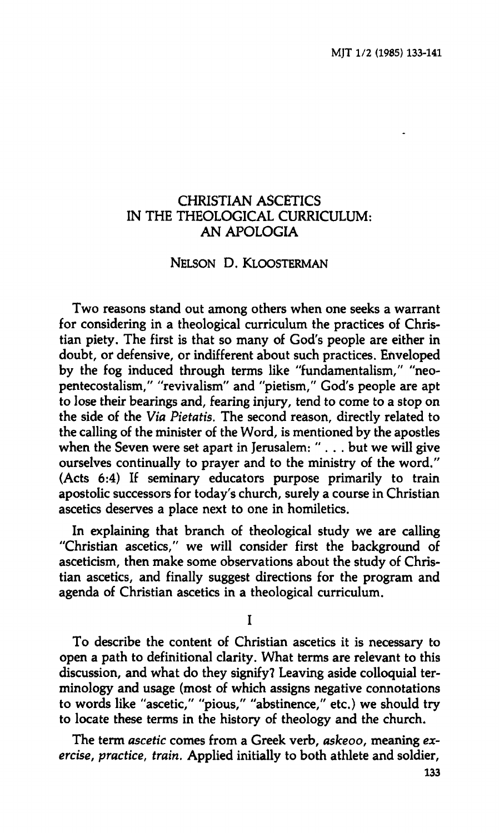## **CHRISTIAN ASCETICS IN THE THEOLOGICAL CURRICULUM: AN APOLOGIA**

## **NELSON D. KLOOSTERMAN**

**Two reasons stand out among others when one seeks a warrant for considering in a theological curriculum the practices of Christian piety. The first is that so many òf God's people are either in doubt, or defensive, or indifferent about such practices. Enveloped by the fog induced through terms like "fundamentalism," "neopentecostalism," "revivalism" and "pietism," God's people are apt to lose their bearings and, fearing injury, tend to come to a stop on the side of the** *Via Pietatis.* **The second reason, directly related to the calling of the minister of the Word, is mentioned by the apostles when the Seven were set apart in Jerusalem: ".. . but we will give ourselves continually to prayer and to the ministry of the word." (Acts 6:4) If seminary educators purpose primarily to train apostolic successors for today's church, surely a course in Christian ascetics deserves a place next tò one in homiletics.** 

**In explaining that branch of theological study we are calling "Christian ascetics," we will consider first the background of asceticism, then make some observations about the study of Christian ascetics, and finally suggest directions for the program and agenda of Christian ascetics in a theological curriculum.** 

**I** 

**To describe the content of Christian ascetics it is necessary to open a path to definitional clarity. What terms are relevant to this discussion, and what do they signify? Leaving aside colloquial terminology and usage (most of which assigns negative connotations to words like "ascetic," "pious," "abstinence," etc.) we should try to locate these terms in the history of theology and the church.** 

**The term** *ascetic* **comes from a Greek verb,** *askeoo,* **meaning** *exercise, practice, train.* **Applied initially to both athlete and soldier,**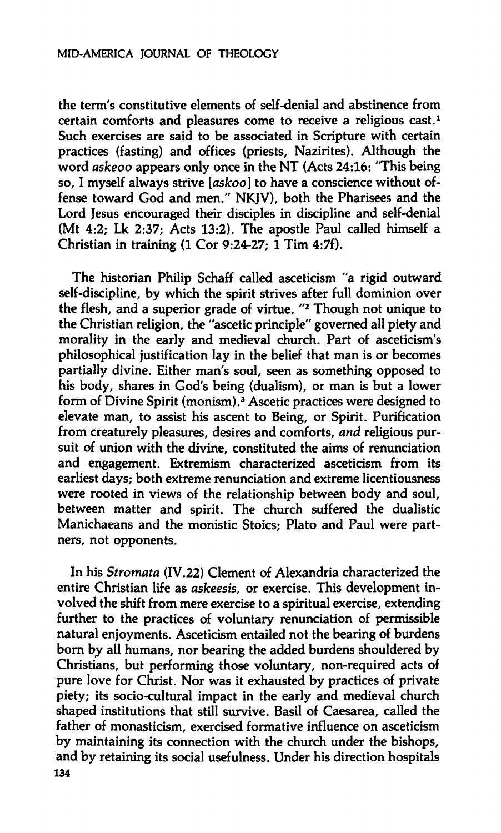**the term's constitutive elements of self-denial and abstinence from certain comforts and pleasures come to receive a religious cast.<sup>1</sup> Such exercises are said to be associated in Scripture with certain practices (fasting) and offices (priests, Nazirites). Although the word** *askeoo* **appears only once in the NT (Acts 24:16: "This being**  so. I myself always strive [askoo] to have a conscience without of**fense toward God and men." NKJV), both the Pharisees and the Lord Jesus encouraged their disciples in discipline and self-denial (Mt 4:2; Lk 2:37; Acts 13:2). The apostle Paul called himself a Christian in training (1 Cor 9:24-27; 1 Tim 4:7f).** 

**The historian Philip Schaff called asceticism "a rigid outward self-discipline, by which the spirit strives after full dominion over the flesh, and a superior grade of virtue. "<sup>2</sup> Though not unique to the Christian religion, the "ascetic principle" governed all piety and morality in the early and medieval church. Part of asceticism's philosophical justification lay in the belief that man is or becomes partially divine. Either man's soul, seen as something opposed to his body, shares in God's being (dualism), or man is but a lower form of Divine Spirit (monism).<sup>3</sup> Ascetic practices were designed to elevate man, to assist his ascent to Being, or Spirit. Purification from creaturely pleasures, desires and comforts,** *and* **religious pursuit of union with the divine, constituted the aims of renunciation and engagement. Extremism characterized asceticism from its earliest days; both extreme renunciation and extreme licentiousness were rooted in views of the relationship between body and soul, between matter and spirit. The church suffered the dualistic Manichaeans and the monistic Stoics; Plato and Paul were partners, not opponents.** 

**In his** *Stromata* **(IV.22) Clement of Alexandria characterized the entire Christian life as** *askeesis,* **or exercise. This development involved the shift from mere exercise to a spiritual exercise, extending further to the practices of voluntary renunciation of permissible natural enjoyments. Asceticism entailed not the bearing of burdens born by all humans, nor bearing the added burdens shouldered by Christians, but performing those voluntary, non-required acts of pure love for Christ. Nor was it exhausted by practices of private piety; its socio-cultural impact in the early and medieval church shaped institutions that still survive. Basil of Caesarea, called the father of monasticism, exercised formative influence on asceticism by maintaining its connection with the church under the bishops, and by retaining its social usefulness. Under his direction hospitals 134**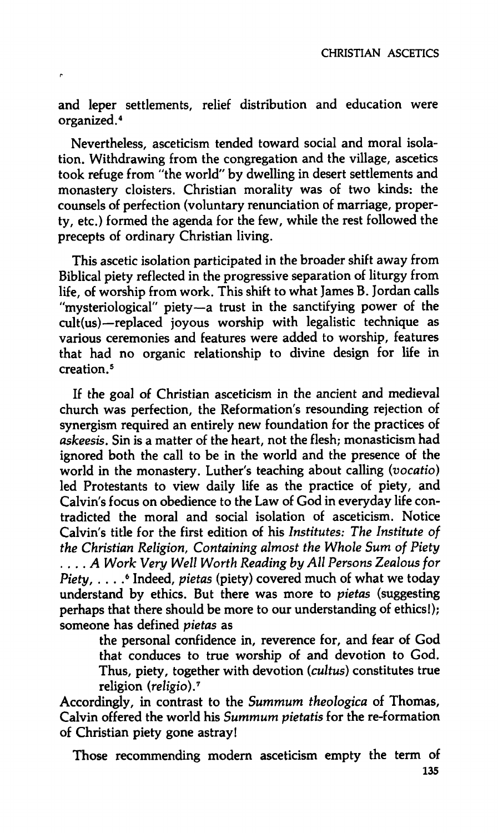**and leper settlements, relief distribution and education were organized.<sup>4</sup>**

**Nevertheless, asceticism tended toward social and moral isolation. Withdrawing from the congregation and the village, ascetics took refuge from "the world" by dwelling in desert settlements and monastery cloisters. Christian morality was of two kinds: the counsels of perfection (voluntary renunciation of marriage, property, etc.) formed the agenda for the few, while the rest followed the precepts of ordinary Christian living.** 

**This ascetic isolation participated in the broader shift away from Biblical piety reflected in the progressive separation of liturgy from life, of worship from work. This shift to what James B. Jordan calls "mysteriological" piety—a trust in the sanctifying power of the cult (us)—replaced joyous worship with legalistic technique as various ceremonies and features were added to worship, features that had no organic relationship to divine design for life in creation.<sup>5</sup>**

**If the goal of Christian asceticism in the ancient and medieval church was perfection, the Reformation's resounding rejection of synergism required an entirely new foundation for the practices of**  *askeesis.* **Sin is a matter of the heart, not the flesh; monasticism had ignored both the call to be in the world and the presence of the world in the monastery. Luther's teaching about calling** *(vocatio)*  **led Protestants to view daily life as the practice of piety, and Calvin's focus on obedience to the Law of God in everyday life contradicted the moral and social isolation of asceticism. Notice Calvin's title for the first edition of his** *Institutes: The Institute of the Christian Religion, Containing almost the Whole Sum of Piety*  **... . A** *Work Very Well Worth Reading by All Persons Zealous for Piety,* **. . . . 6 Indeed,** *pietas* **(piety) covered much of what we today understand by ethics. But there was more to** *pietas* **(suggesting perhaps that there should be more to our understanding of ethics!); someone has defined** *pietas* **as** 

**the personal confidence in, reverence for, and fear of God that conduces to true worship of and devotion to God. Thus, piety, together with devotion** *(cultus)* **constitutes true religion** *{religio).<sup>7</sup>*

**Accordingly, in contrast to the** *Summum theologica* **of Thomas, Calvin offered the world his** *Summum pietatis* **for the re-formation of Christian piety gone astray!** 

**Those recommending modern asceticism empty the term of**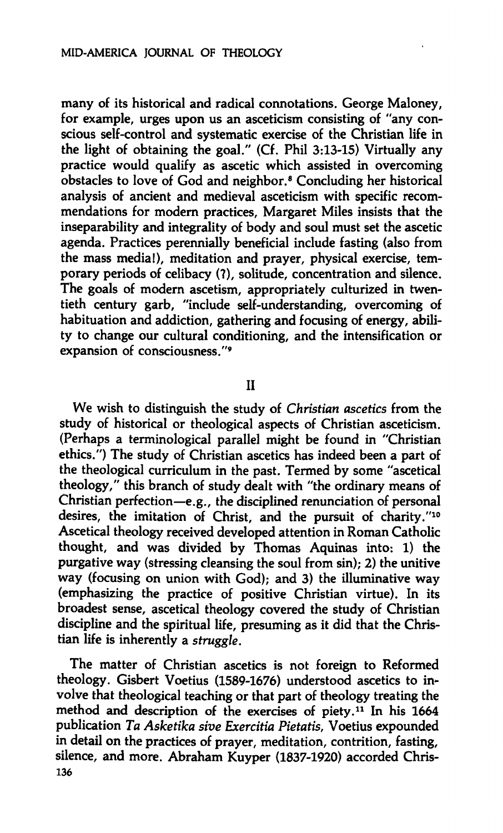**many of its historical and radical connotations. George Maloney, for example, urges upon us an asceticism consisting of "any conscious self-control and systematic exercise of the Christian life in the light of obtaining the goal." (Cf. Phil 3:13-15) Virtually any practice would qualify as ascetic which assisted in overcoming obstacles to love of God and neighbor.<sup>8</sup> Concluding her historical analysis of ancient and medieval asceticism with specific recommendations for modern practices, Margaret Miles insists that the inseparability and integrality of body and soul must set the ascetic agenda. Practices perennially beneficial include fasting (also from the mass media!), meditation and prayer, physical exercise, temporary periods of celibacy (?), solitude, concentration and silence. The goals of modern ascetism, appropriately culturized in twentieth century garb, "include self-understanding, overcoming of habituation and addiction, gathering and focusing of energy, ability to change our cultural conditioning, and the intensification or expansion of consciousness."<sup>9</sup>**

**II** 

**We wish to distinguish the study of** *Christian ascetics* **from the study of historical or theological aspects of Christian asceticism. (Perhaps a terminological parallel might be found in "Christian ethics.") The study of Christian ascetics has indeed been a part of the theological curriculum in the past. Termed by some "ascetical theology," this branch of study dealt with "the ordinary means of Christian perfection—e.g., the disciplined renunciation of personal desires, the imitation of Christ, and the pursuit of charity."<sup>10</sup> Ascetical theology received developed attention in Roman Catholic thought, and was divided by Thomas Aquinas into: 1) the purgative way (stressing cleansing the soul from sin); 2) the unitive way (focusing on union with God); and 3) the illuminative way (emphasizing the practice of positive Christian virtue). In its broadest sense, ascetical theology covered the study of Christian discipline and the spiritual life, presuming as it did that the Christian life is inherently a** *struggle.* 

**The matter of Christian ascetics is not foreign to Reformed theology. Gisbert Voetius (1589-1676) understood ascetics to involve that theological teaching or that part of theology treating the method and description of the exercises of piety.<sup>11</sup> In his 1664 publication** *Ta Asketika sive Exercitia Pietatis,* **Voetius expounded in detail on the practices of prayer, meditation, contrition, fasting, silence, and more. Abraham Kuyper (1837-1920) accorded Chris-136**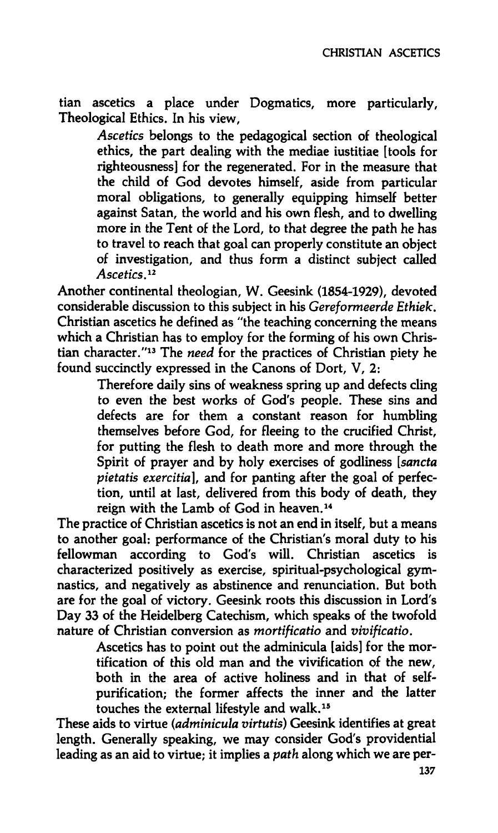**tian ascetics a place under Dogmatics, more particularly. Theological Ethics. In his view.** 

*Ascetics* **belongs to the pedagogical section of theological ethics, the part dealing with the mediae iustitiae [tools for righteousness] for the regenerated. For in the measure that the child of God devotes himself, aside from particular moral obligations, to generally equipping himself better against Satan, the world and his own flesh, and to dwelling more in the Tent of the Lord, to that degree the path he has to travel to reach that goal can properly constitute an object of investigation, and thus form a distinct subject called**  *Ascetics.<sup>12</sup>*

**Another continental theologian, W. Geesink (1854-1929), devoted considerable discussion to this subject in his** *Cereformeerde Ethiek.*  **Christian ascetics he defined as "the teaching concerning the means which a Christian has to employ for the forming of his own Christian character."<sup>13</sup> The** *need* **for the practices of Christian piety he found succinctly expressed in the Canons of Dort, V, 2:** 

> **Therefore daily sins of weakness spring up and defects cling to even the best works of God's people. These sins and defects are for them a constant reason for humbling themselves before God, for fleeing to the crucified Christ, for putting the flesh to death more and more through the Spirit of prayer and by holy exercises of godliness** *[sancta pietatis exercitia],* **and for panting after the goal of perfection, until at last, delivered from this body of death, they reign with the Lamb of God in heaven.<sup>14</sup>**

**The practice of Christian ascetics is not an end in itself, but a means to another goal: performance of the Christian's moral duty to his fellowman according to God's will. Christian ascetics is characterized positively as exercise, spiritual-psychological gymnastics, and negatively as abstinence and renunciation. But both are for the goal of victory. Geesink roots this discussion in Lord's Day 33 of the Heidelberg Catechism, which speaks of the twofold nature of Christian conversion as** *mortificatio* **and** *vivificatio.* 

> **Ascetics has to point out the adminicula [aids] for the mortification of this old man and the vivification of the new, both in the area of active holiness and in that of selfpurification; the former affects the inner and the latter touches the external lifestyle and walk.<sup>15</sup>**

**These aids to virtue** *(adminicula virtutis)* **Geesink identifies at great length. Generally speaking, we may consider God's providential leading as an aid to virtue; it implies a** *path* **along which we are per-**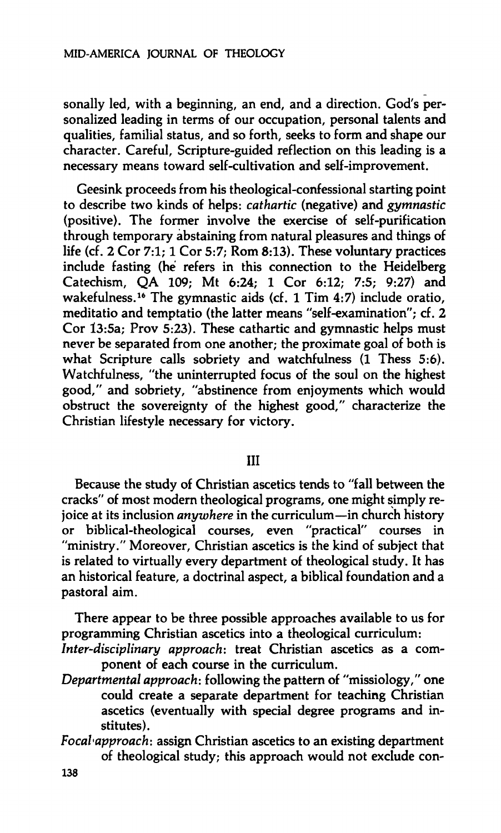**sonally led, with a beginning, an end, and a direction. God's personalized leading in terms of our occupation, personal talents and qualities, familial status, and so forth, seeks to form and shape our character. Careful, Scripture-guided reflection on this leading is a necessary means toward self-cultivation and self-improvement.** 

**Geesink proceeds from his theological-confessional starting point to describe two kinds of helps:** *cathartic* **(negative) and** *gymnastic*  **(positive). The former involve the exercise of self-purification through temporary abstaining from natural pleasures and things of life (cf. 2 Cor 7:1; 1 Cor** *5:7;* **Rom 8:13). These voluntary practices include fasting (he refers in this connection to the Heidelberg Catechism, QA 109; Mt 6:24; 1 Cor 6:12; 7:5; 9:27) and wakefulness.<sup>16</sup> The gymnastic aids (cf. 1 Tim 4:7) include oratio, meditatio and temptatio (the latter means "self-examination"; cf. 2 Cor 13:5a; Prov 5:23). These cathartic and gymnastic helps must never be separated from one another; the proximate goal of both is what Scripture calls sobriety and watchfulness (1 Thess 5:6). Watchfulness, "the uninterrupted focus of the soul on the highest good," and sobriety, "abstinence from enjoyments which would obstruct the sovereignty of the highest good," characterize the Christian lifestyle necessary for victory.** 

## **Ill**

**Because the study of Christian ascetics tends to "fall between the cracks" of most modern theological programs, one might simply rejoice at its inclusion** *anywhere* **in the curriculum—in church history or biblical-theological courses, even "practical" courses in "ministry." Moreover, Christian ascetics is the kind of subject that is related to virtually every department of theological study. It has an historical feature, a doctrinal aspect, a biblical foundation and a pastoral aim.** 

**There appear to be three possible approaches available to us for programming Christian ascetics into a theological curriculum:** 

- *Inter-disciplinary approach:* **treat Christian ascetics as a component of each course in the curriculum.**
- *Departmental approach:* **following the pattern of "missiology," one could create a separate department for teaching Christian ascetics (eventually with special degree programs and institutes).**
- *¥ocal·approach:* **assign Christian ascetics to an existing department of theological study; this approach would not exclude con-**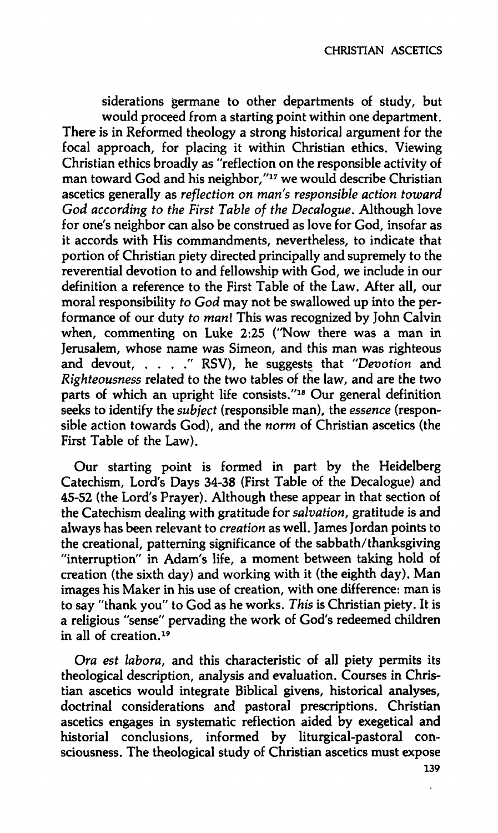**siderations germane to other departments of study, but would proceed from a starting point within one department. There is in Reformed theology a strong historical argument for the focal approach, for placing it within Christian ethics. Viewing Christian ethics broadly as "reflection on the responsible activity of man toward God and his neighbor,"<sup>17</sup> we would describe Christian ascetics generally as** *reflection on man's responsible action toward God according to the First Table of the Decalogue.* **Although love for one's neighbor can also be construed as love for God, insofar as it accords with His commandments, nevertheless, to indicate that portion of Christian piety directed principally and supremely to the reverential devotion to and fellowship with God, we include in our definition a reference to the First Table of the Law. After all, our moral responsibility** *to God* **may not be swallowed up into the performance of our duty** *to mani* **This was recognized by John Calvin when, commenting on Luke 2:25 ("Now there was a man in Jerusalem, whose name was Simeon, and this man was righteous and devout, . . . ." RSV), he suggests that** *"Devotion* **and**  *Righteousness* **related to the two tables of the law, and are the two parts of which an upright life consists."<sup>18</sup> Our general definition seeks to identify the** *subject* **(responsible man), the** *essence* **(responsible action towards God), and the** *norm* **of Christian ascetics (the First Table of the Law).** 

**Our starting point is formed in part by the Heidelberg Catechism, Lord's Days 34-38 (First Table of the Decalogue) and 45-52 (the Lord's Prayer). Although these appear in that section of the Catechism dealing with gratitude for** *salvation,* **gratitude is and always has been relevant to** *creation* **as well. James Jordan points to the creational, patterning significance of the sabbath/thanksgiving "interruption" in Adam's life, a moment between taking hold of creation (the sixth day) and working with it (the eighth day). Man images his Maker in his use of creation, with one difference: man is to say "thank you" to God as he works.** *This* **is Christian piety. It is a religious "sense" pervading the work of God's redeemed children in all of creation.<sup>19</sup>**

*Ora est labora,* **and this characteristic of all piety permits its theological description, analysis and evaluation. Courses in Christian ascetics would integrate Biblical givens, historical analyses, doctrinal considerations and pastoral prescriptions. Christian ascetics engages in systematic reflection aided by exegetical and historial conclusions, informed by liturgical-pastoral consciousness. The theological study of Christian ascetics must expose** 

**139**  $\bullet$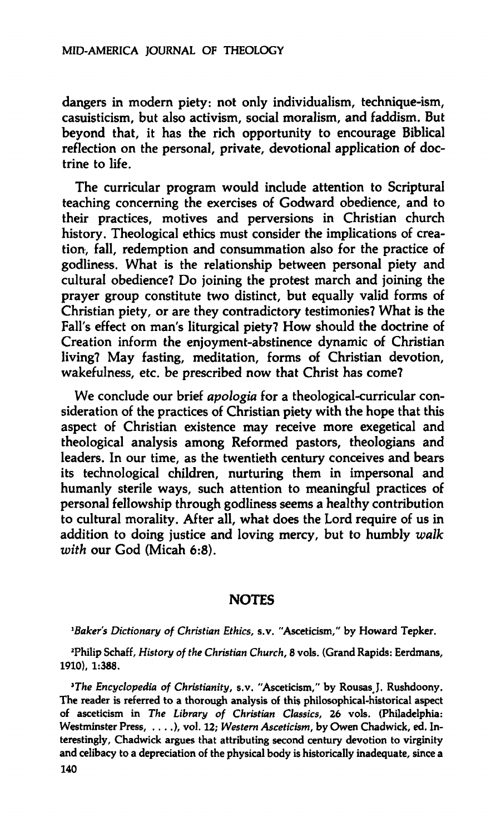**dangers in modern piety: not only individualism, technique-ism, casuisticism, but also activism, social moralism, and faddism. But beyond that, it has the rich opportunity to encourage Biblical reflection on the personal, private, devotional application of doctrine to life.** 

**The curricular program would include attention to Scriptural teaching concerning the exercises of Godward obedience, and to their practices, motives and perversions in Christian church history. Theological ethics must consider the implications of creation, fall, redemption and consummation also for the practice of godliness. What is the relationship between personal piety and cultural obedience? Do joining the protest march and joining the prayer group constitute two distinct, but equally valid forms of Christian piety, or are they contradictory testimonies? What is the Fall's effect on man's liturgical piety? How should the doctrine of Creation inform the enjoyment-abstinence dynamic of Christian living? May fasting, meditation, forms of Christian devotion, wakefulness, etc. be prescribed now that Christ has come?** 

**We conclude our brief** *apologia* **for a theological-curricular consideration of the practices of Christian piety with the hope that this aspect of Christian existence may receive more exegetical and theological analysis among Reformed pastors, theologians and leaders. In our time, as the twentieth century conceives and bears its technological children, nurturing them in impersonal and humanly sterile ways, such attention to meaningful practices of personal fellowship through godliness seems a healthy contribution to cultural morality. After all, what does the Lord require of us in addition to doing justice and loving mercy, but to humbly** *walk with* **our God (Micah 6:8).** 

## **NOTES**

<sup>1</sup>Baker's Dictionary of Christian Ethics, s.v. "Asceticism," by Howard Tepker.

**<sup>2</sup>Philip Schaff,** *History of the Christian Church,* **8 vols. (Grand Rapids: Eerdmans, 1910), 1:388.** 

*<sup>3</sup>The Encyclopedia of Christianity,* **s.v. "Asceticism," by Rousas J. Rushdoony. The reader is referred to a thorough analysis of this philosophical-historical aspect of asceticism in** *The Library of Christian Classics,* **26 vols. (Philadelphia: Westminster Press, . . . .), vol. 12;** *Western Asceticism,* **by Owen Chadwick, ed. Interestingly, Chadwick argues that attributing second century devotion to virginity and celibacy to a depreciation of the physical body is historically inadequate, since a 140**